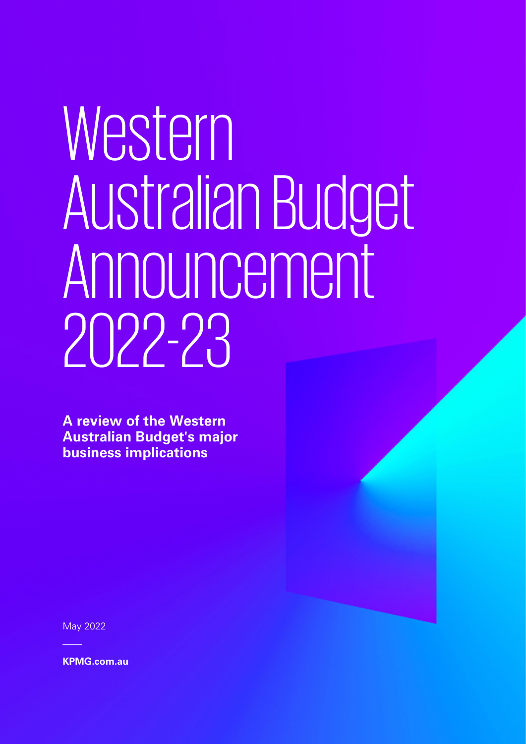# Western AustralianBudget Announcement 2022-23

**A review of the Western Australian Budget's major business implications**

May 2022

**[KPMG.com.au](https://kpmgaust-my.sharepoint.com/personal/kirstenbrown_kpmg_com_au/Documents/Desktop/KD%20Work%20in%20Progress/876653025DTL_State-Budget-Response-2022/KPMG.com.au)**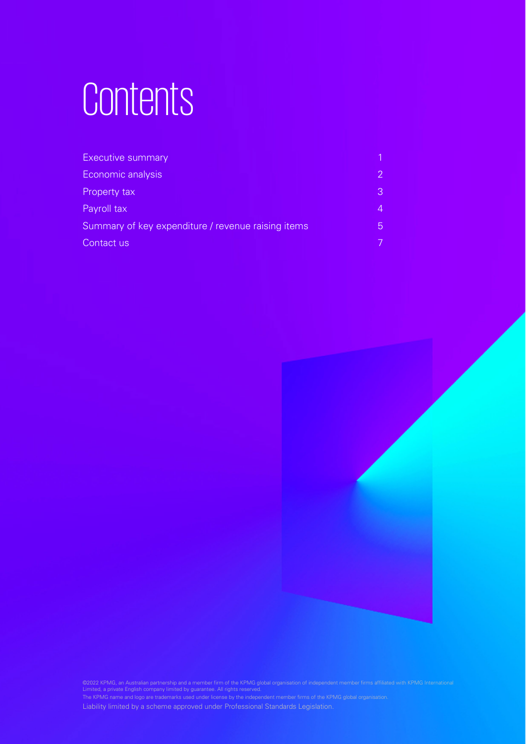## Contents

| <b>Executive summary</b>                           |                |
|----------------------------------------------------|----------------|
| Economic analysis                                  | $\overline{2}$ |
| Property tax                                       | 3              |
| Payroll tax                                        | 4              |
| Summary of key expenditure / revenue raising items | $\overline{5}$ |
| Contact us                                         |                |



©2022 KPMG, an Australian partnership and a member firm of the KPMG glob partnereing and a member in mor the rating.<br>
mpany limited by guarantee. All rights reserved.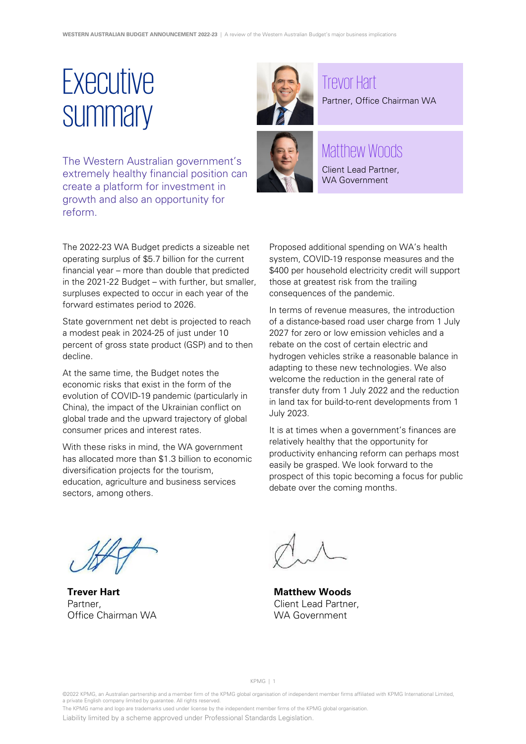### <span id="page-2-0"></span>*Executive* **Summary**

The Western Australian government's extremely healthy financial position can create a platform for investment in growth and also an opportunity for reform.

Trevor Hart Partner, Office Chairman WA



#### Matthew Woods

Client Lead Partner, WA Government

The 2022-23 WA Budget predicts a sizeable net operating surplus of \$5.7 billion for the current financial year – more than double that predicted in the 2021-22 Budget – with further, but smaller, surpluses expected to occur in each year of the forward estimates period to 2026.

State government net debt is projected to reach a modest peak in 2024-25 of just under 10 percent of gross state product (GSP) and to then decline.

At the same time, the Budget notes the economic risks that exist in the form of the evolution of COVID-19 pandemic (particularly in China), the impact of the Ukrainian conflict on global trade and the upward trajectory of global consumer prices and interest rates.

With these risks in mind, the WA government has allocated more than \$1.3 billion to economic diversification projects for the tourism, education, agriculture and business services sectors, among others.

Proposed additional spending on WA's health system, COVID-19 response measures and the \$400 per household electricity credit will support those at greatest risk from the trailing consequences of the pandemic.

In terms of revenue measures, the introduction of a distance-based road user charge from 1 July 2027 for zero or low emission vehicles and a rebate on the cost of certain electric and hydrogen vehicles strike a reasonable balance in adapting to these new technologies. We also welcome the reduction in the general rate of transfer duty from 1 July 2022 and the reduction in land tax for build-to-rent developments from 1 July 2023.

It is at times when a government's finances are relatively healthy that the opportunity for productivity enhancing reform can perhaps most easily be grasped. We look forward to the prospect of this topic becoming a focus for public debate over the coming months.

**Trever Hart** Partner, Office Chairman WA

**Matthew Woods** Client Lead Partner, WA Government

KPMG | 1

©2022 KPMG, an Australian partnership and a member firm of the KPMG global organisation of independent member firms affiliated with KPMG International Limited, a private English company limited by guarantee. All rights reserved.

The KPMG name and logo are trademarks used under license by the independent member firms of the KPMG global organisation.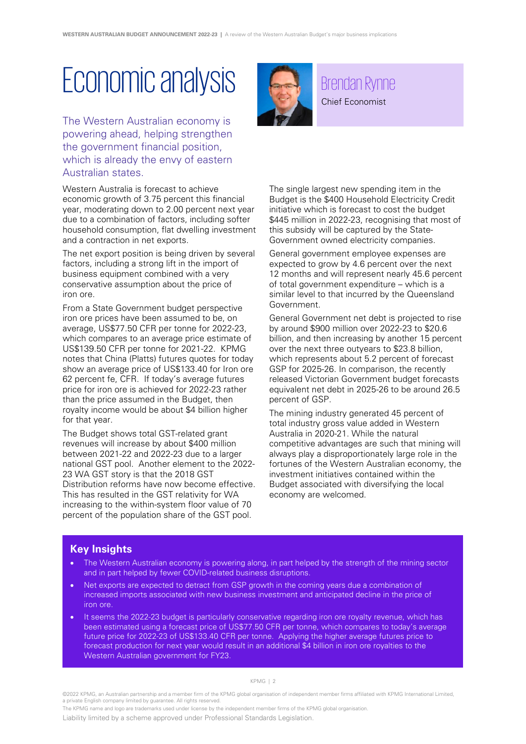### <span id="page-3-0"></span>Economic analysis

The Western Australian economy is powering ahead, helping strengthen the government financial position, which is already the envy of eastern Australian states.

Western Australia is forecast to achieve economic growth of 3.75 percent this financial year, moderating down to 2.00 percent next year due to a combination of factors, including softer household consumption, flat dwelling investment and a contraction in net exports.

The net export position is being driven by several factors, including a strong lift in the import of business equipment combined with a very conservative assumption about the price of iron ore.

From a State Government budget perspective iron ore prices have been assumed to be, on average, US\$77.50 CFR per tonne for 2022-23, which compares to an average price estimate of US\$139.50 CFR per tonne for 2021-22. KPMG notes that China (Platts) futures quotes for today show an average price of US\$133.40 for Iron ore 62 percent fe, CFR. If today's average futures price for iron ore is achieved for 2022-23 rather than the price assumed in the Budget, then royalty income would be about \$4 billion higher for that year.

The Budget shows total GST-related grant revenues will increase by about \$400 million between 2021-22 and 2022-23 due to a larger national GST pool. Another element to the 2022- 23 WA GST story is that the 2018 GST Distribution reforms have now become effective. This has resulted in the GST relativity for WA increasing to the within-system floor value of 70 percent of the population share of the GST pool.



#### Brendan Rynne Chief Economist

The single largest new spending item in the Budget is the \$400 Household Electricity Credit initiative which is forecast to cost the budget \$445 million in 2022-23, recognising that most of this subsidy will be captured by the State-Government owned electricity companies.

General government employee expenses are expected to grow by 4.6 percent over the next 12 months and will represent nearly 45.6 percent of total government expenditure – which is a similar level to that incurred by the Queensland Government.

General Government net debt is projected to rise by around \$900 million over 2022-23 to \$20.6 billion, and then increasing by another 15 percent over the next three outyears to \$23.8 billion, which represents about 5.2 percent of forecast GSP for 2025-26. In comparison, the recently released Victorian Government budget forecasts equivalent net debt in 2025-26 to be around 26.5 percent of GSP.

The mining industry generated 45 percent of total industry gross value added in Western Australia in 2020-21. While the natural competitive advantages are such that mining will always play a disproportionately large role in the fortunes of the Western Australian economy, the investment initiatives contained within the Budget associated with diversifying the local economy are welcomed.

#### **Key Insights**

- The Western Australian economy is powering along, in part helped by the strength of the mining sector and in part helped by fewer COVID-related business disruptions.
- Net exports are expected to detract from GSP growth in the coming years due a combination of increased imports associated with new business investment and anticipated decline in the price of iron ore.
- It seems the 2022-23 budget is particularly conservative regarding iron ore royalty revenue, which has been estimated using a forecast price of US\$77.50 CFR per tonne, which compares to today's average future price for 2022-23 of US\$133.40 CFR per tonne. Applying the higher average futures price to forecast production for next year would result in an additional \$4 billion in iron ore royalties to the Western Australian government for FY23.

#### KPMG | 2

©2022 KPMG, an Australian partnership and a member firm of the KPMG global organisation of independent member firms affiliated with KPMG International Limited, a private English company limited by guarantee. All rights reserved.

The KPMG name and logo are trademarks used under license by the independent member firms of the KPMG global organisation.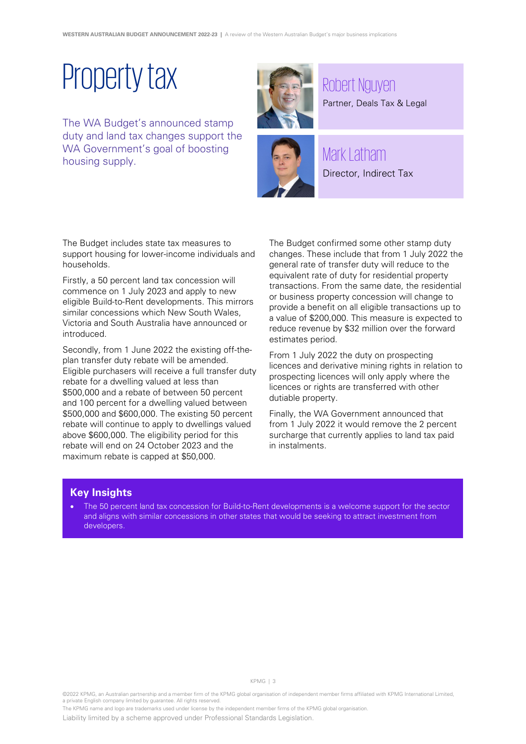### Property tax

<span id="page-4-0"></span>The WA Budget's announced stamp duty and land tax changes support the WA Government's goal of boosting housing supply.





Mark Latham Director, Indirect Tax

Partner, Deals Tax & Legal Partner, Deals Tax & Legal

The Budget includes state tax measures to support housing for lower-income individuals and households.

Firstly, a 50 percent land tax concession will commence on 1 July 2023 and apply to new eligible Build-to-Rent developments. This mirrors similar concessions which New South Wales, Victoria and South Australia have announced or introduced.

Secondly, from 1 June 2022 the existing off-theplan transfer duty rebate will be amended. Eligible purchasers will receive a full transfer duty rebate for a dwelling valued at less than \$500,000 and a rebate of between 50 percent and 100 percent for a dwelling valued between \$500,000 and \$600,000. The existing 50 percent rebate will continue to apply to dwellings valued above \$600,000. The eligibility period for this rebate will end on 24 October 2023 and the maximum rebate is capped at \$50,000.

The Budget confirmed some other stamp duty changes. These include that from 1 July 2022 the general rate of transfer duty will reduce to the equivalent rate of duty for residential property transactions. From the same date, the residential or business property concession will change to provide a benefit on all eligible transactions up to a value of \$200,000. This measure is expected to reduce revenue by \$32 million over the forward estimates period.

From 1 July 2022 the duty on prospecting licences and derivative mining rights in relation to prospecting licences will only apply where the licences or rights are transferred with other dutiable property.

Finally, the WA Government announced that from 1 July 2022 it would remove the 2 percent surcharge that currently applies to land tax paid in instalments.

#### **Key Insights**

• The 50 percent land tax concession for Build-to-Rent developments is a welcome support for the sector and aligns with similar concessions in other states that would be seeking to attract investment from developers.

©2022 KPMG, an Australian partnership and a member firm of the KPMG global organisation of independent member firms affiliated with KPMG International Limited, a private English company limited by guarantee. All rights reserved.

KPMG | 3

The KPMG name and logo are trademarks used under license by the independent member firms of the KPMG global organisation.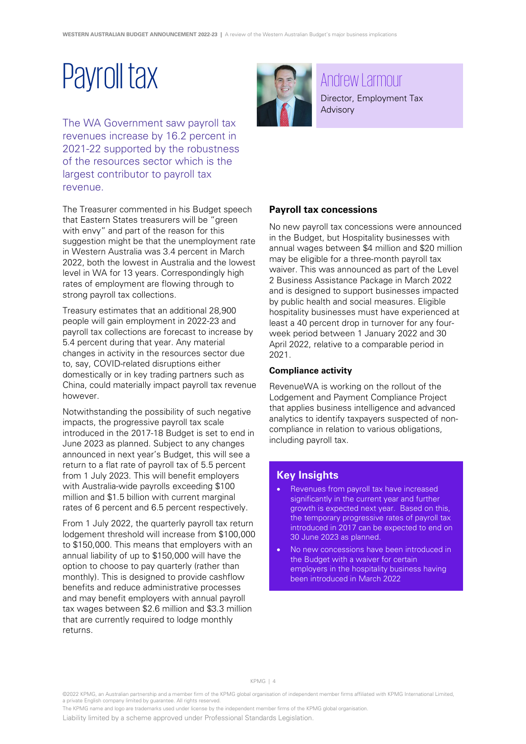### <span id="page-5-0"></span>Payroll tax

The WA Government saw payroll tax revenues increase by 16.2 percent in 2021-22 supported by the robustness of the resources sector which is the largest contributor to payroll tax revenue.

The Treasurer commented in his Budget speech that Eastern States treasurers will be "green with envy" and part of the reason for this suggestion might be that the unemployment rate in Western Australia was 3.4 percent in March 2022, both the lowest in Australia and the lowest level in WA for 13 years. Correspondingly high rates of employment are flowing through to strong payroll tax collections.

Treasury estimates that an additional 28,900 people will gain employment in 2022-23 and payroll tax collections are forecast to increase by 5.4 percent during that year. Any material changes in activity in the resources sector due to, say, COVID-related disruptions either domestically or in key trading partners such as China, could materially impact payroll tax revenue however.

Notwithstanding the possibility of such negative impacts, the progressive payroll tax scale introduced in the 2017-18 Budget is set to end in June 2023 as planned. Subject to any changes announced in next year's Budget, this will see a return to a flat rate of payroll tax of 5.5 percent from 1 July 2023. This will benefit employers with Australia-wide payrolls exceeding \$100 million and \$1.5 billion with current marginal rates of 6 percent and 6.5 percent respectively.

From 1 July 2022, the quarterly payroll tax return lodgement threshold will increase from \$100,000 to \$150,000. This means that employers with an annual liability of up to \$150,000 will have the option to choose to pay quarterly (rather than monthly). This is designed to provide cashflow benefits and reduce administrative processes and may benefit employers with annual payroll tax wages between \$2.6 million and \$3.3 million that are currently required to lodge monthly returns.



#### Andrew Larmour Director, Employment Tax Advisory

**Payroll tax concessions**

No new payroll tax concessions were announced in the Budget, but Hospitality businesses with annual wages between \$4 million and \$20 million may be eligible for a three-month payroll tax waiver. This was announced as part of the Level 2 Business Assistance Package in March 2022 and is designed to support businesses impacted by public health and social measures. Eligible hospitality businesses must have experienced at least a 40 percent drop in turnover for any fourweek period between 1 January 2022 and 30 April 2022, relative to a comparable period in 2021.

#### **Compliance activity**

RevenueWA is working on the rollout of the Lodgement and Payment Compliance Project that applies business intelligence and advanced analytics to identify taxpayers suspected of noncompliance in relation to various obligations, including payroll tax.

#### **Key Insights**

- Revenues from payroll tax have increased significantly in the current year and further growth is expected next year. Based on this, the temporary progressive rates of payroll tax introduced in 2017 can be expected to end on 30 June 2023 as planned.
- No new concessions have been introduced in the Budget with a waiver for certain employers in the hospitality business having been introduced in March 2022

KPMG | 4

©2022 KPMG, an Australian partnership and a member firm of the KPMG global organisation of independent member firms affiliated with KPMG International Limited, a private English company limited by guarantee. All rights reserved.

The KPMG name and logo are trademarks used under license by the independent member firms of the KPMG global organisation.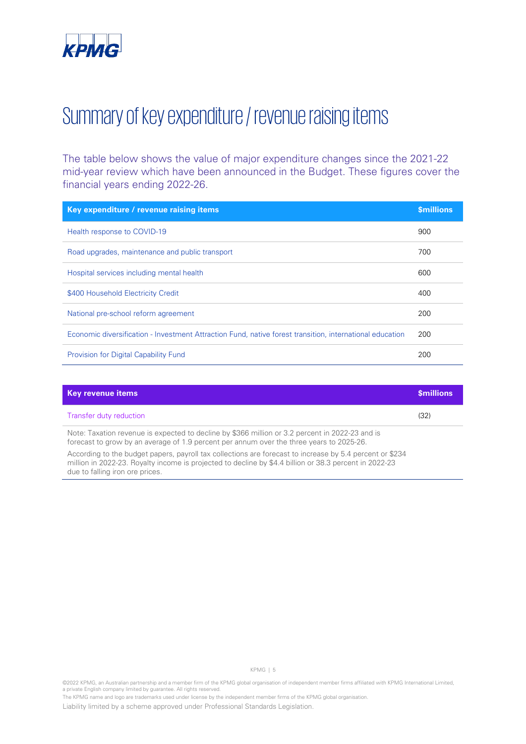### <span id="page-6-0"></span>Summary of key expenditure / revenue raising items

The table below shows the value of major expenditure changes since the 2021-22 mid-year review which have been announced in the Budget. These figures cover the financial years ending 2022-26.

| Key expenditure / revenue raising items                                                                  | <b>Smillions</b> |
|----------------------------------------------------------------------------------------------------------|------------------|
| Health response to COVID-19                                                                              | 900              |
| Road upgrades, maintenance and public transport                                                          | 700              |
| Hospital services including mental health                                                                | 600              |
| \$400 Household Electricity Credit                                                                       | 400              |
| National pre-school reform agreement                                                                     | 200              |
| Economic diversification - Investment Attraction Fund, native forest transition, international education | 200              |
| Provision for Digital Capability Fund                                                                    | 200              |

| <b>Key revenue items</b>                                                                                                                                                                                                                                                                                                                             | <b>Smillions</b> |
|------------------------------------------------------------------------------------------------------------------------------------------------------------------------------------------------------------------------------------------------------------------------------------------------------------------------------------------------------|------------------|
| Transfer duty reduction                                                                                                                                                                                                                                                                                                                              | (32)             |
| Note: Taxation revenue is expected to decline by \$366 million or 3.2 percent in 2022-23 and is<br>forecast to grow by an average of 1.9 percent per annum over the three years to 2025-26.<br>. A coordinate the finding appearance in the first collection one force of the first coordinate $\mathbb{A}$ appearance of $\mathbb{A}\cap\mathbb{A}$ |                  |

According to the budget papers, payroll tax collections are forecast to increase by 5.4 percent or \$234 million in 2022-23. Royalty income is projected to decline by \$4.4 billion or 38.3 percent in 2022-23 due to falling iron ore prices.

KPMG | 5

The KPMG name and logo are trademarks used under license by the independent member firms of the KPMG global organisation.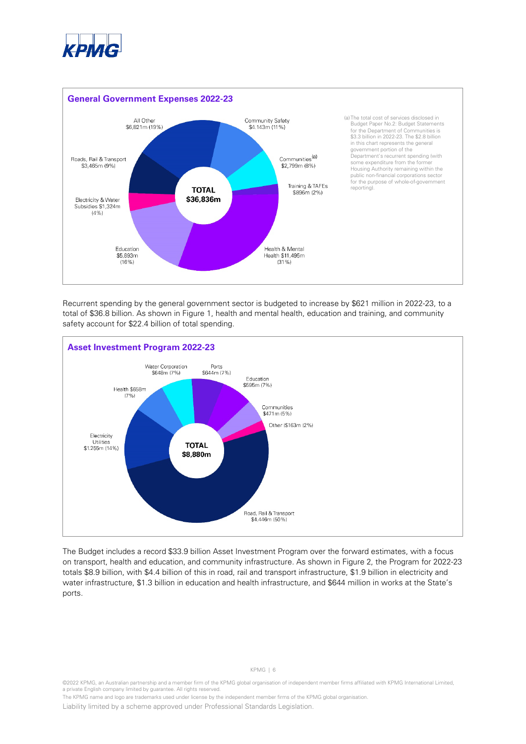



Recurrent spending by the general government sector is budgeted to increase by \$621 million in 2022-23, to a total of \$36.8 billion. As shown in Figure 1, health and mental health, education and training, and community safety account for \$22.4 billion of total spending.



<span id="page-7-0"></span>The Budget includes a record \$33.9 billion Asset Investment Program over the forward estimates, with a focus on transport, health and education, and community infrastructure. As shown in Figure 2, the Program for 2022-23 totals \$8.9 billion, with \$4.4 billion of this in road, rail and transport infrastructure, \$1.9 billion in electricity and water infrastructure, \$1.3 billion in education and health infrastructure, and \$644 million in works at the State's ports.

#### KPMG | 6

<sup>©2022</sup> KPMG, an Australian partnership and a member firm of the KPMG global organisation of independent member firms affiliated with KPMG International Limited, a private English company limited by guarantee. All rights reserved.

The KPMG name and logo are trademarks used under license by the independent member firms of the KPMG global organisation.